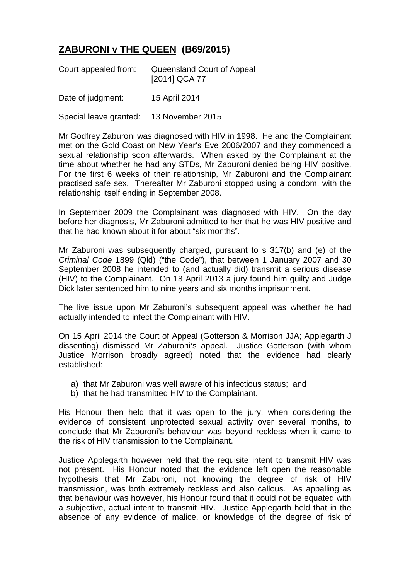## **ZABURONI v THE QUEEN (B69/2015)**

| Court appealed from: | Queensland Court of Appeal<br>[2014] QCA 77 |
|----------------------|---------------------------------------------|
| Date of judgment:    | 15 April 2014                               |

Special leave granted: 13 November 2015

Mr Godfrey Zaburoni was diagnosed with HIV in 1998. He and the Complainant met on the Gold Coast on New Year's Eve 2006/2007 and they commenced a sexual relationship soon afterwards. When asked by the Complainant at the time about whether he had any STDs, Mr Zaburoni denied being HIV positive. For the first 6 weeks of their relationship, Mr Zaburoni and the Complainant practised safe sex. Thereafter Mr Zaburoni stopped using a condom, with the relationship itself ending in September 2008.

In September 2009 the Complainant was diagnosed with HIV. On the day before her diagnosis, Mr Zaburoni admitted to her that he was HIV positive and that he had known about it for about "six months".

Mr Zaburoni was subsequently charged, pursuant to s 317(b) and (e) of the *Criminal Code* 1899 (Qld) ("the Code"), that between 1 January 2007 and 30 September 2008 he intended to (and actually did) transmit a serious disease (HIV) to the Complainant. On 18 April 2013 a jury found him guilty and Judge Dick later sentenced him to nine years and six months imprisonment.

The live issue upon Mr Zaburoni's subsequent appeal was whether he had actually intended to infect the Complainant with HIV.

On 15 April 2014 the Court of Appeal (Gotterson & Morrison JJA; Applegarth J dissenting) dismissed Mr Zaburoni's appeal. Justice Gotterson (with whom Justice Morrison broadly agreed) noted that the evidence had clearly established:

- a) that Mr Zaburoni was well aware of his infectious status; and
- b) that he had transmitted HIV to the Complainant.

His Honour then held that it was open to the jury, when considering the evidence of consistent unprotected sexual activity over several months, to conclude that Mr Zaburoni's behaviour was beyond reckless when it came to the risk of HIV transmission to the Complainant.

Justice Applegarth however held that the requisite intent to transmit HIV was not present. His Honour noted that the evidence left open the reasonable hypothesis that Mr Zaburoni, not knowing the degree of risk of HIV transmission, was both extremely reckless and also callous. As appalling as that behaviour was however, his Honour found that it could not be equated with a subjective, actual intent to transmit HIV. Justice Applegarth held that in the absence of any evidence of malice, or knowledge of the degree of risk of